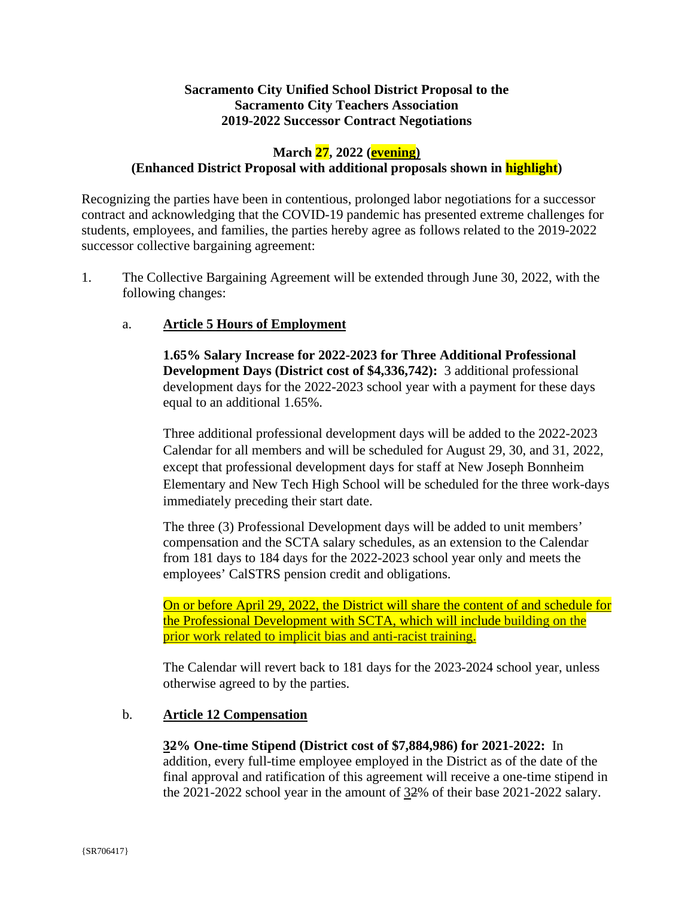# **Sacramento City Unified School District Proposal to the Sacramento City Teachers Association 2019-2022 Successor Contract Negotiations**

# **March 27, 2022 (evening)**

## **(Enhanced District Proposal with additional proposals shown in highlight)**

Recognizing the parties have been in contentious, prolonged labor negotiations for a successor contract and acknowledging that the COVID-19 pandemic has presented extreme challenges for students, employees, and families, the parties hereby agree as follows related to the 2019-2022 successor collective bargaining agreement:

1. The Collective Bargaining Agreement will be extended through June 30, 2022, with the following changes:

## a. **Article 5 Hours of Employment**

**1.65% Salary Increase for 2022-2023 for Three Additional Professional Development Days (District cost of \$4,336,742):** 3 additional professional development days for the 2022-2023 school year with a payment for these days equal to an additional 1.65%.

Three additional professional development days will be added to the 2022-2023 Calendar for all members and will be scheduled for August 29, 30, and 31, 2022, except that professional development days for staff at New Joseph Bonnheim Elementary and New Tech High School will be scheduled for the three work-days immediately preceding their start date.

The three (3) Professional Development days will be added to unit members' compensation and the SCTA salary schedules, as an extension to the Calendar from 181 days to 184 days for the 2022-2023 school year only and meets the employees' CalSTRS pension credit and obligations.

On or before April 29, 2022, the District will share the content of and schedule for the Professional Development with SCTA, which will include building on the prior work related to implicit bias and anti-racist training.

The Calendar will revert back to 181 days for the 2023-2024 school year, unless otherwise agreed to by the parties.

### b. **Article 12 Compensation**

### **32% One-time Stipend (District cost of \$7,884,986) for 2021-2022:** In

addition, every full-time employee employed in the District as of the date of the final approval and ratification of this agreement will receive a one-time stipend in the 2021-2022 school year in the amount of 32% of their base 2021-2022 salary.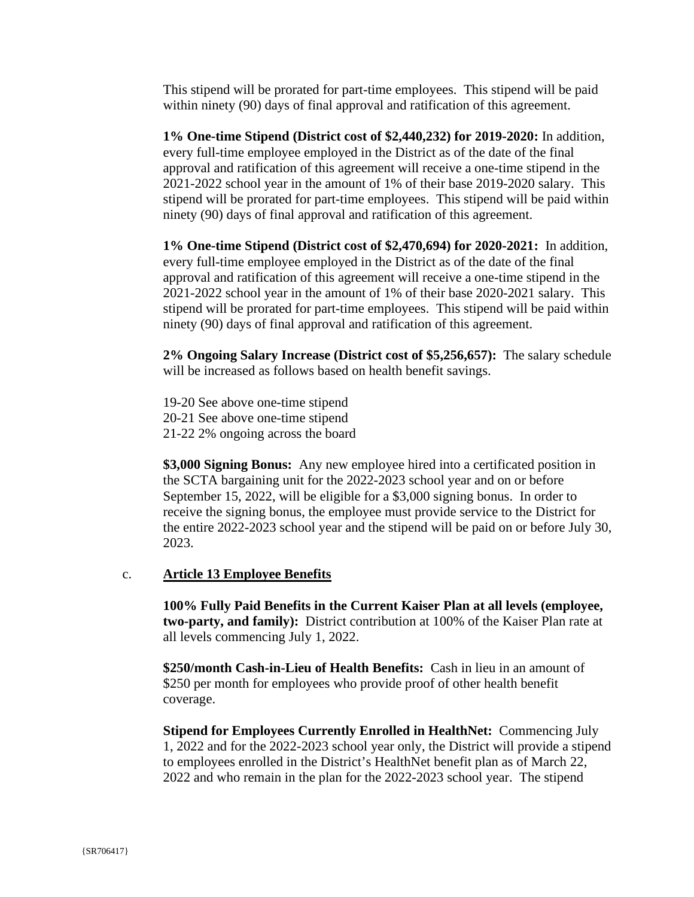This stipend will be prorated for part-time employees. This stipend will be paid within ninety (90) days of final approval and ratification of this agreement.

**1% One-time Stipend (District cost of \$2,440,232) for 2019-2020:** In addition, every full-time employee employed in the District as of the date of the final approval and ratification of this agreement will receive a one-time stipend in the 2021-2022 school year in the amount of 1% of their base 2019-2020 salary. This stipend will be prorated for part-time employees. This stipend will be paid within ninety (90) days of final approval and ratification of this agreement.

**1% One-time Stipend (District cost of \$2,470,694) for 2020-2021:** In addition, every full-time employee employed in the District as of the date of the final approval and ratification of this agreement will receive a one-time stipend in the 2021-2022 school year in the amount of 1% of their base 2020-2021 salary. This stipend will be prorated for part-time employees. This stipend will be paid within ninety (90) days of final approval and ratification of this agreement.

**2% Ongoing Salary Increase (District cost of \$5,256,657):** The salary schedule will be increased as follows based on health benefit savings.

19-20 See above one-time stipend

20-21 See above one-time stipend

21-22 2% ongoing across the board

**\$3,000 Signing Bonus:** Any new employee hired into a certificated position in the SCTA bargaining unit for the 2022-2023 school year and on or before September 15, 2022, will be eligible for a \$3,000 signing bonus. In order to receive the signing bonus, the employee must provide service to the District for the entire 2022-2023 school year and the stipend will be paid on or before July 30, 2023.

# c. **Article 13 Employee Benefits**

**100% Fully Paid Benefits in the Current Kaiser Plan at all levels (employee, two-party, and family):** District contribution at 100% of the Kaiser Plan rate at all levels commencing July 1, 2022.

**\$250/month Cash-in-Lieu of Health Benefits:** Cash in lieu in an amount of \$250 per month for employees who provide proof of other health benefit coverage.

**Stipend for Employees Currently Enrolled in HealthNet:** Commencing July 1, 2022 and for the 2022-2023 school year only, the District will provide a stipend to employees enrolled in the District's HealthNet benefit plan as of March 22, 2022 and who remain in the plan for the 2022-2023 school year. The stipend